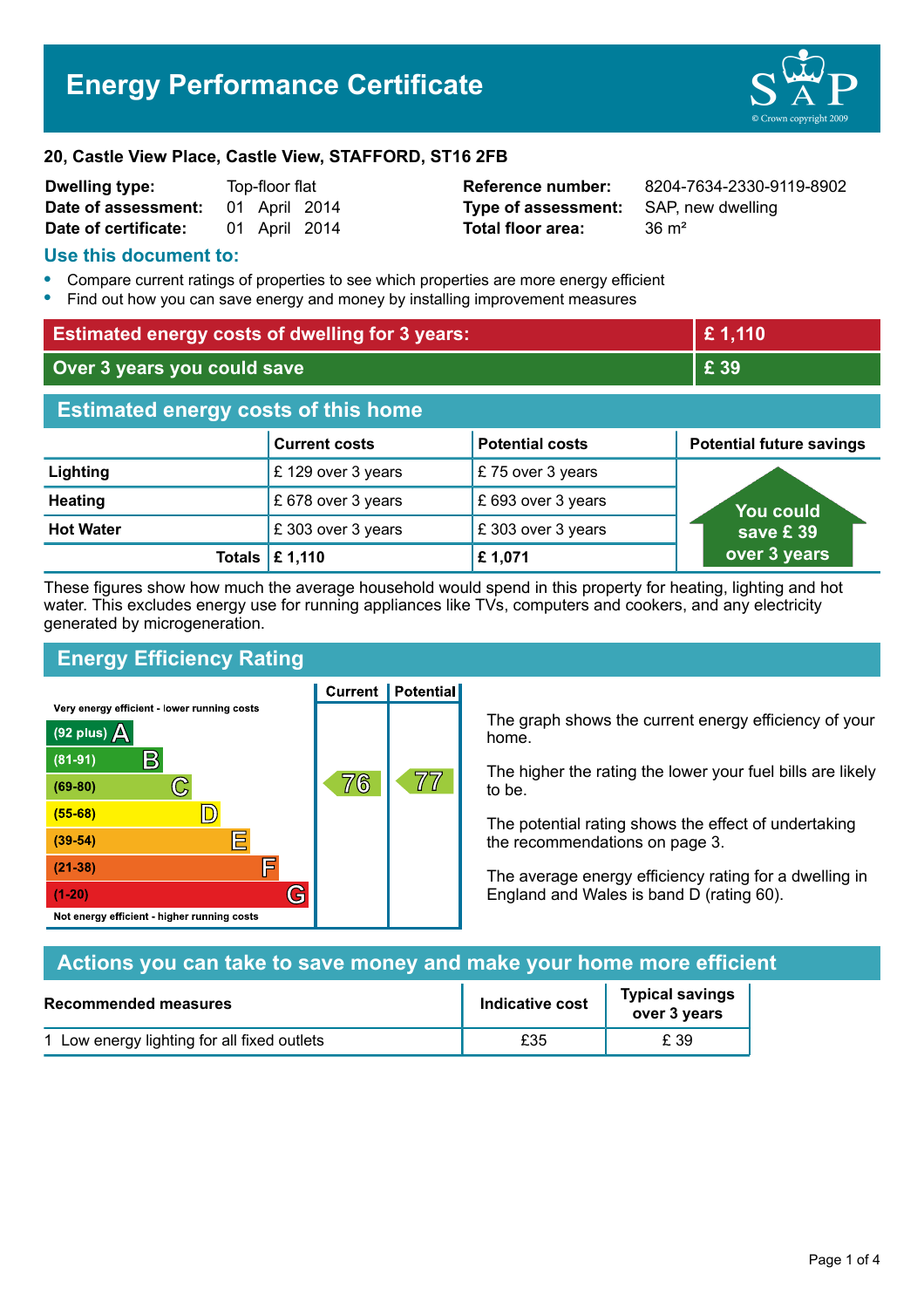#### **20, Castle View Place, Castle View, STAFFORD, ST16 2FB**

| <b>Dwelling type:</b> | Top-floor flat |               |  |
|-----------------------|----------------|---------------|--|
| Date of assessment:   |                | 01 April 2014 |  |
| Date of certificate:  |                | 01 April 2014 |  |

# **Type of assessment:** SAP, new dwelling **Total floor area:** 36 m<sup>2</sup>

**Reference number:** 8204-7634-2330-9119-8902

### **Use this document to:**

- **•** Compare current ratings of properties to see which properties are more energy efficient
- **•** Find out how you can save energy and money by installing improvement measures

| <b>Estimated energy costs of dwelling for 3 years:</b> |                      | £1,110                 |                                 |
|--------------------------------------------------------|----------------------|------------------------|---------------------------------|
| Over 3 years you could save                            |                      |                        | £ 39                            |
| <b>Estimated energy costs of this home</b>             |                      |                        |                                 |
|                                                        | <b>Current costs</b> | <b>Potential costs</b> | <b>Potential future savings</b> |
| Lighting                                               | £129 over 3 years    | £75 over 3 years       |                                 |
| <b>Heating</b>                                         | £ 678 over 3 years   | £ 693 over 3 years     | You could                       |
| <b>Hot Water</b>                                       | £303 over 3 years    | £303 over 3 years      | save £39                        |
| Totals                                                 | $E$ 1,110            | £1,071                 | over 3 years                    |

These figures show how much the average household would spend in this property for heating, lighting and hot water. This excludes energy use for running appliances like TVs, computers and cookers, and any electricity generated by microgeneration.

**Current | Potential** 

# **Energy Efficiency Rating**

Very energy efficient - lower running costs



The graph shows the current energy efficiency of your home.

The higher the rating the lower your fuel bills are likely to be.

The potential rating shows the effect of undertaking the recommendations on page 3.

The average energy efficiency rating for a dwelling in England and Wales is band D (rating 60).

| Actions you can take to save money and make your home more efficient |                        |                                        |  |
|----------------------------------------------------------------------|------------------------|----------------------------------------|--|
| <b>Recommended measures</b>                                          | <b>Indicative cost</b> | <b>Typical savings</b><br>over 3 years |  |
| 1 Low energy lighting for all fixed outlets                          | £35                    | £ 39                                   |  |

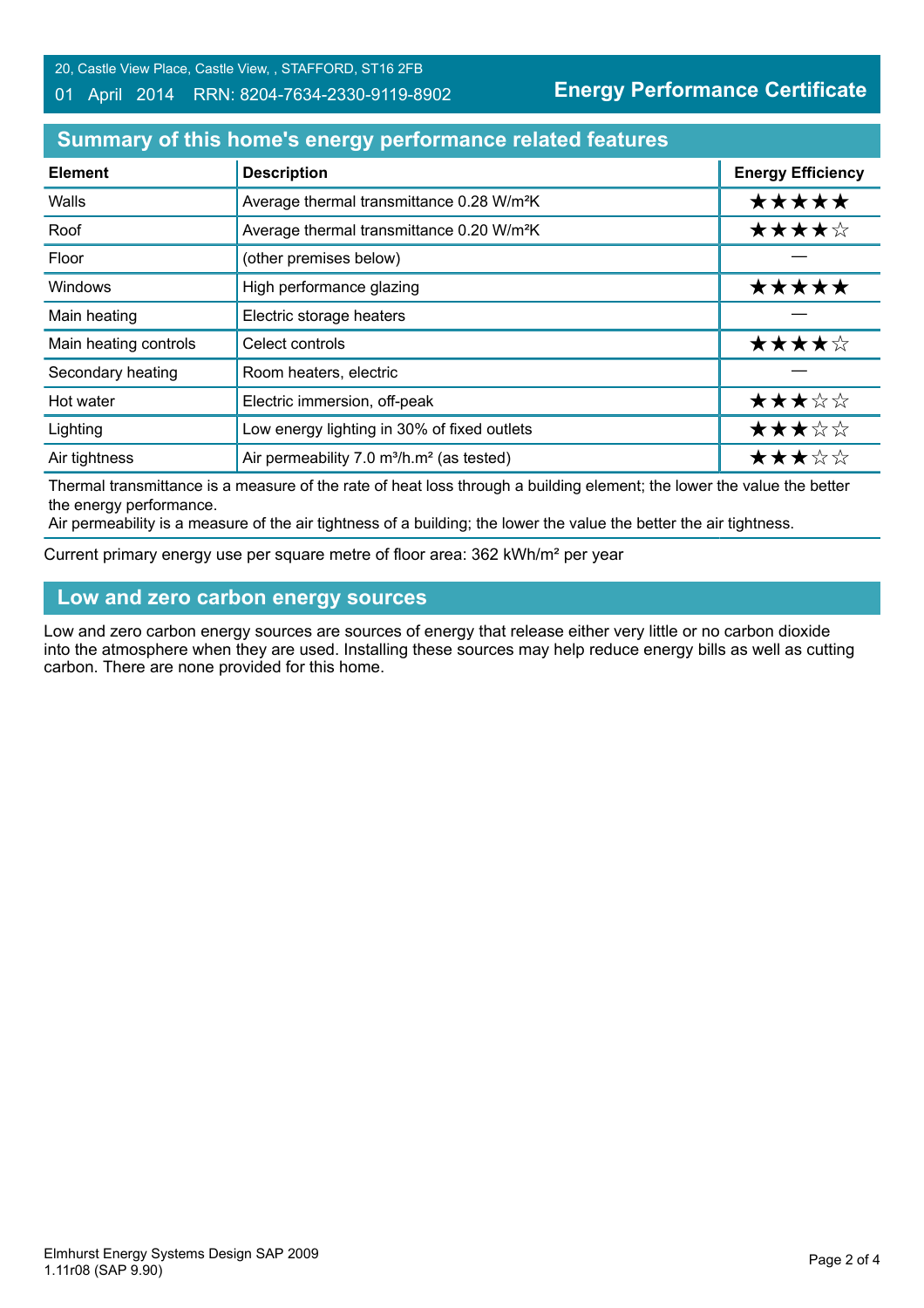#### 01 April 2014 RRN: 8204-7634-2330-9119-8902

## **Summary of this home's energy performance related features**

| <b>Element</b>        | <b>Description</b>                                                | <b>Energy Efficiency</b> |
|-----------------------|-------------------------------------------------------------------|--------------------------|
| Walls                 | Average thermal transmittance 0.28 W/m <sup>2</sup> K             | *****                    |
| Roof                  | Average thermal transmittance 0.20 W/m <sup>2</sup> K             | ★★★★☆                    |
| Floor                 | (other premises below)                                            |                          |
| <b>Windows</b>        | High performance glazing                                          | *****                    |
| Main heating          | Electric storage heaters                                          |                          |
| Main heating controls | Celect controls                                                   | ★★★★☆                    |
| Secondary heating     | Room heaters, electric                                            |                          |
| Hot water             | Electric immersion, off-peak                                      | ★★★☆☆                    |
| Lighting              | Low energy lighting in 30% of fixed outlets                       | ★★★☆☆                    |
| Air tightness         | Air permeability 7.0 m <sup>3</sup> /h.m <sup>2</sup> (as tested) | ★★★☆☆                    |

Thermal transmittance is a measure of the rate of heat loss through a building element; the lower the value the better the energy performance.

Air permeability is a measure of the air tightness of a building; the lower the value the better the air tightness.

Current primary energy use per square metre of floor area: 362 kWh/m² per year

# **Low and zero carbon energy sources**

Low and zero carbon energy sources are sources of energy that release either very little or no carbon dioxide into the atmosphere when they are used. Installing these sources may help reduce energy bills as well as cutting carbon. There are none provided for this home.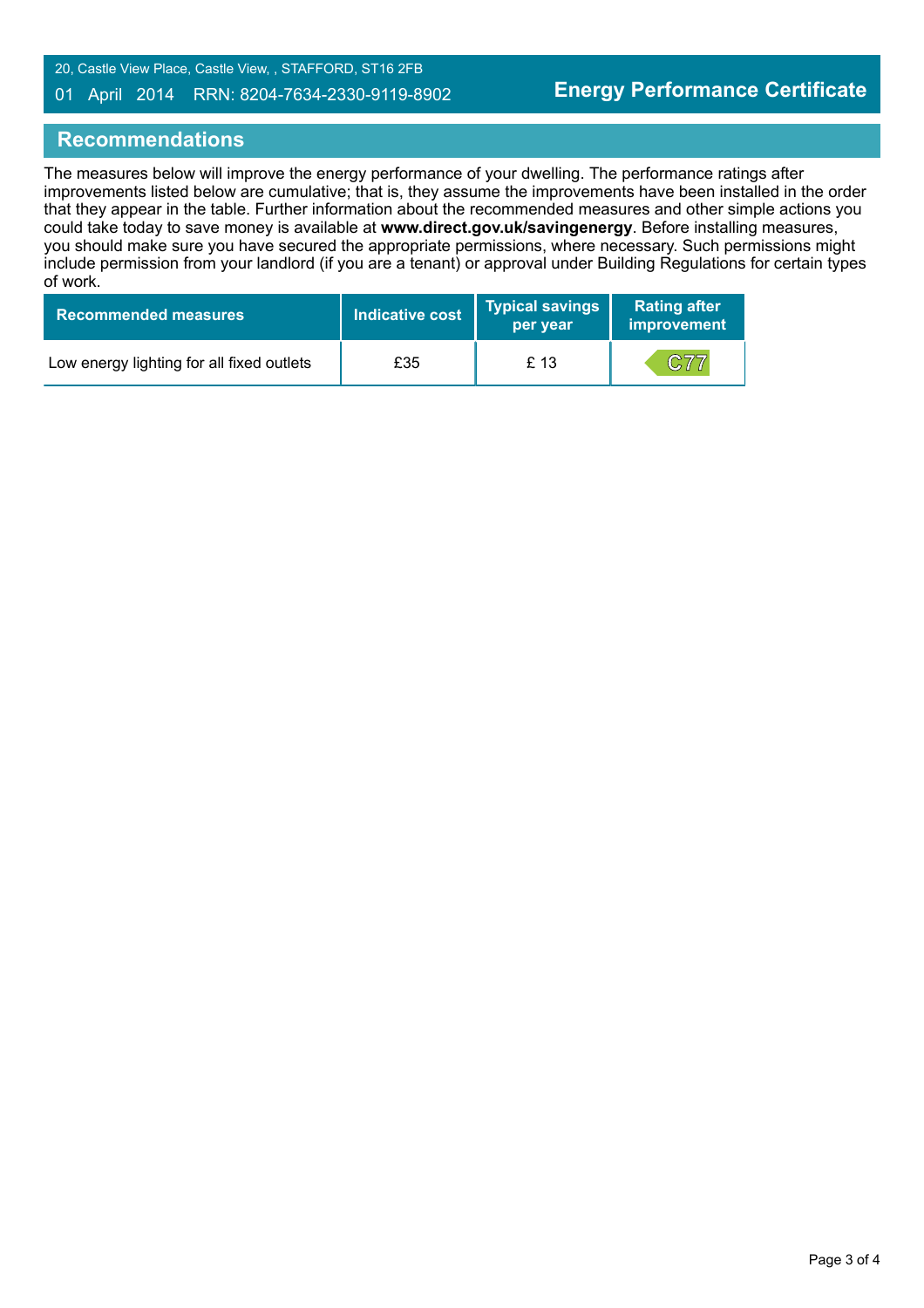20, Castle View Place, Castle View, , STAFFORD, ST16 2FB

#### 01 April 2014 RRN: 8204-7634-2330-9119-8902

### **Recommendations**

The measures below will improve the energy performance of your dwelling. The performance ratings after improvements listed below are cumulative; that is, they assume the improvements have been installed in the order that they appear in the table. Further information about the recommended measures and other simple actions you could take today to save money is available at **www.direct.gov.uk/savingenergy**. Before installing measures, you should make sure you have secured the appropriate permissions, where necessary. Such permissions might include permission from your landlord (if you are a tenant) or approval under Building Regulations for certain types of work.

| <b>Recommended measures</b>               | Indicative cost | Typical savings <sup> </sup><br>per year | <b>Rating after</b><br>improvement |
|-------------------------------------------|-----------------|------------------------------------------|------------------------------------|
| Low energy lighting for all fixed outlets | £35             | £ 13                                     | C77                                |